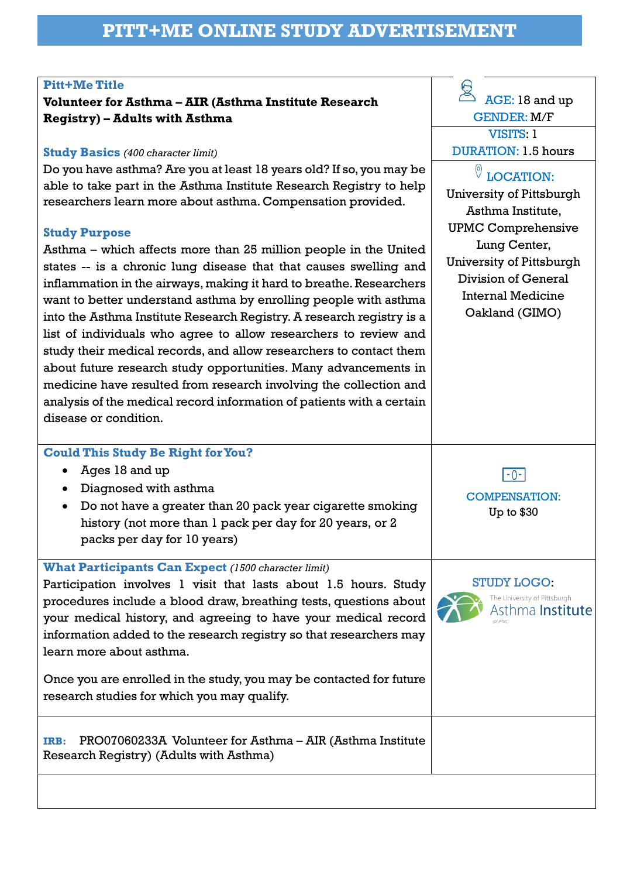#### **Pitt+Me Title**

## **Volunteer for Asthma – AIR (Asthma Institute Research Registry) – Adults with Asthma**

#### **Study Basics** *(400 character limit)*

Do you have asthma? Are you at least 18 years old? If so, you may be able to take part in the Asthma Institute Research Registry to help researchers learn more about asthma. Compensation provided.

#### **Study Purpose**

Asthma – which affects more than 25 million people in the United states -- is a chronic lung disease that that causes swelling and inflammation in the airways, making it hard to breathe. Researchers want to better understand asthma by enrolling people with asthma into the Asthma Institute Research Registry. A research registry is a list of individuals who agree to allow researchers to review and study their medical records, and allow researchers to contact them about future research study opportunities. Many advancements in medicine have resulted from research involving the collection and analysis of the medical record information of patients with a certain disease or condition.

### **Could This Study Be Right for You?**

- Ages 18 and up
- Diagnosed with asthma
- Do not have a greater than 20 pack year cigarette smoking history (not more than 1 pack per day for 20 years, or 2 packs per day for 10 years)

**What Participants Can Expect** *(1500 character limit)*

Participation involves 1 visit that lasts about 1.5 hours. Study procedures include a blood draw, breathing tests, questions about your medical history, and agreeing to have your medical record information added to the research registry so that researchers may learn more about asthma.

Once you are enrolled in the study, you may be contacted for future research studies for which you may qualify.

**IRB:** PRO07060233A Volunteer for Asthma – AIR (Asthma Institute Research Registry) (Adults with Asthma)

 $\overline{\bigotimes}_{\text{AGE: }18 \text{ and up}}$ GENDER: M/F VISITS: 1 DURATION: 1.5 hours

# LOCATION:

University of Pittsburgh Asthma Institute, UPMC Comprehensive Lung Center, University of Pittsburgh Division of General Internal Medicine Oakland (GIMO)

 $F - 0 - 1$ 

COMPENSATION: Up to \$30